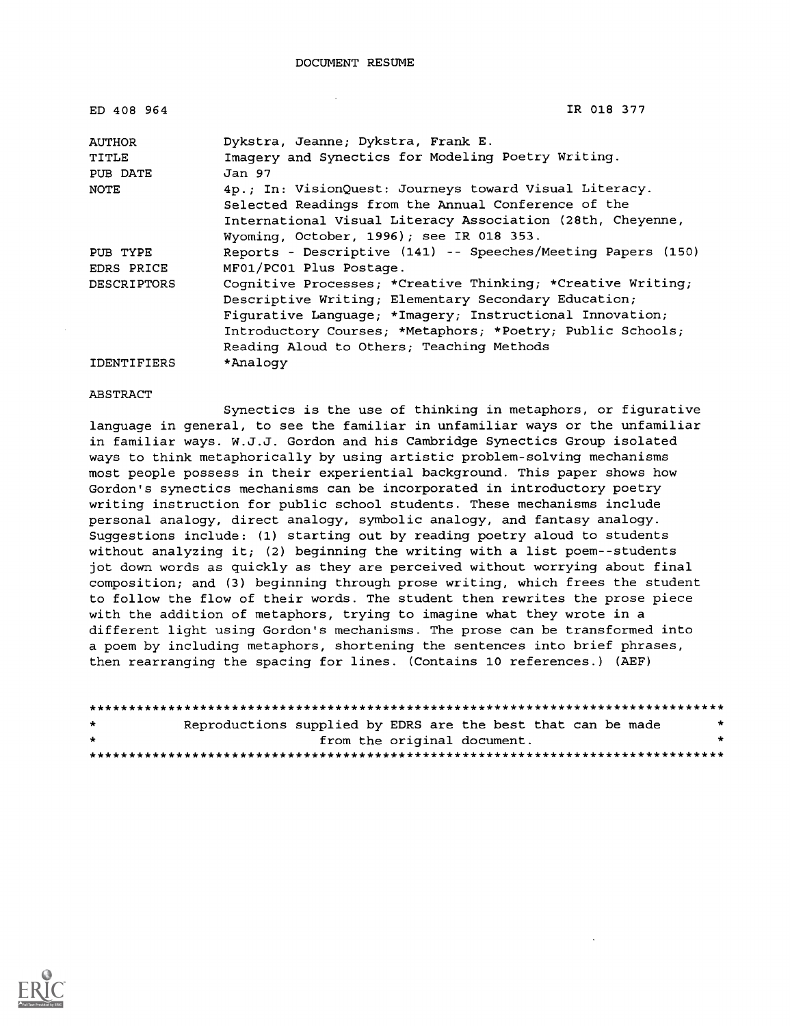| IR 018 377                                                   |
|--------------------------------------------------------------|
| Dykstra, Jeanne; Dykstra, Frank E.                           |
| Imagery and Synectics for Modeling Poetry Writing.           |
| Jan 97                                                       |
| 4p.; In: VisionQuest: Journeys toward Visual Literacy.       |
| Selected Readings from the Annual Conference of the          |
| International Visual Literacy Association (28th, Cheyenne,   |
| Wyoming, October, 1996); see IR 018 353.                     |
| Reports - Descriptive (141) -- Speeches/Meeting Papers (150) |
| MF01/PC01 Plus Postage.                                      |
| Cognitive Processes; *Creative Thinking; *Creative Writing;  |
| Descriptive Writing; Elementary Secondary Education;         |
| Figurative Language; *Imagery; Instructional Innovation;     |
| Introductory Courses; *Metaphors; *Poetry; Public Schools;   |
| Reading Aloud to Others; Teaching Methods                    |
| *Analogy                                                     |
|                                                              |

ABSTRACT

Synectics is the use of thinking in metaphors, or figurative language in general, to see the familiar in unfamiliar ways or the unfamiliar in familiar ways. W.J.J. Gordon and his Cambridge Synectics Group isolated ways to think metaphorically by using artistic problem-solving mechanisms most people possess in their experiential background. This paper shows how Gordon's synectics mechanisms can be incorporated in introductory poetry writing instruction for public school students. These mechanisms include personal analogy, direct analogy, symbolic analogy, and fantasy analogy. Suggestions include: (1) starting out by reading poetry aloud to students without analyzing it; (2) beginning the writing with a list poem--students jot down words as quickly as they are perceived without worrying about final composition; and (3) beginning through prose writing, which frees the student to follow the flow of their words. The student then rewrites the prose piece with the addition of metaphors, trying to imagine what they wrote in a different light using Gordon's mechanisms. The prose can be transformed into a poem by including metaphors, shortening the sentences into brief phrases, then rearranging the spacing for lines. (Contains 10 references.) (AEF)

| $\star$ | Reproductions supplied by EDRS are the best that can be made | $\star$ |  |
|---------|--------------------------------------------------------------|---------|--|
| $\star$ | from the original document.                                  |         |  |
|         |                                                              |         |  |

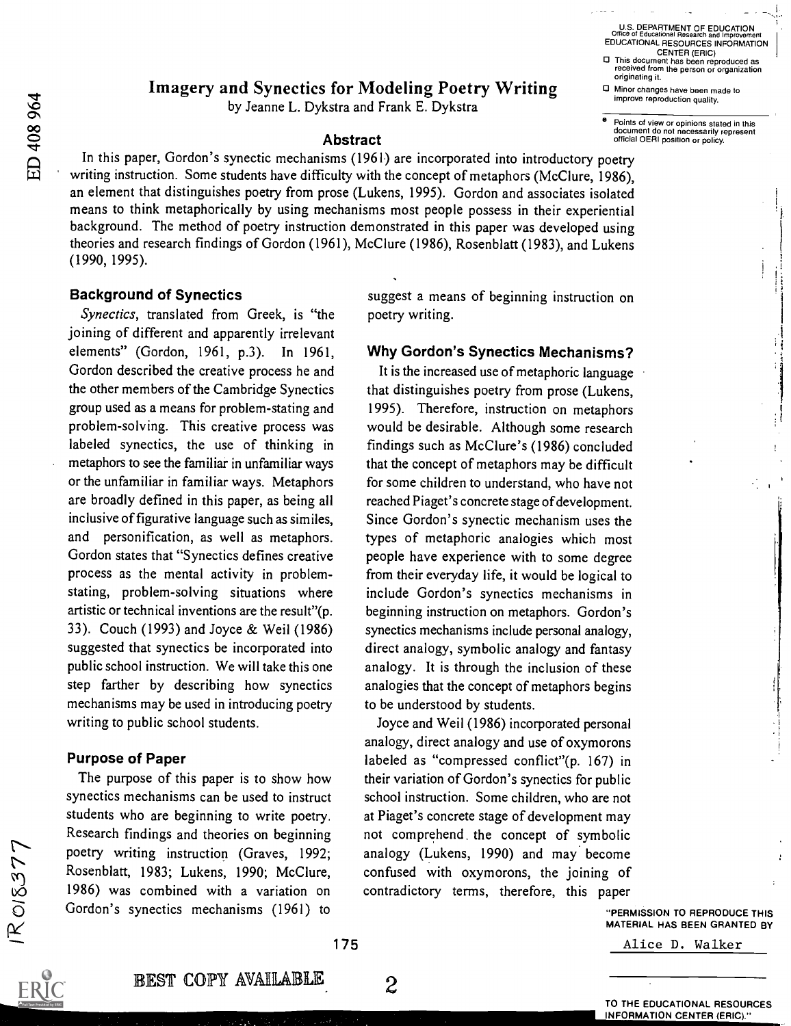Imagery and Synectics for Modeling Poetry Writing

by Jeanne L. Dykstra and Frank E. Dykstra

### Abstract

In this paper, Gordon's synectic mechanisms (1961) are incorporated into introductory poetry writing instruction. Some students have difficulty with the concept of metaphors (McClure, 1986), an element that distinguishes poetry from prose (Lukens, 1995). Gordon and associates isolated means to think metaphorically by using mechanisms most people possess in their experiential background. The method of poetry instruction demonstrated in this paper was developed using theories and research findings of Gordon (1961), McClure (1986), Rosenblatt (1983), and Lukens (1990, 1995).

#### Background of Synectics

Synectics, translated from Greek, is "the joining of different and apparently irrelevant elements" (Gordon, 1961, p.3). In 1961, Gordon described the creative process he and the other members of the Cambridge Synectics group used as a means for problem-stating and problem-solving. This creative process was labeled synectics, the use of thinking in metaphors to see the familiar in unfamiliar ways or the unfamiliar in familiar ways. Metaphors are broadly defined in this paper, as being all inclusive of figurative language such as similes, and personification, as well as metaphors. Gordon states that "Synectics defines creative process as the mental activity in problemstating, problem-solving situations where artistic or technical inventions are the result"(p. 33). Couch (1993) and Joyce & Weil (1986) suggested that synectics be incorporated into public school instruction. We will take this one step farther by describing how synectics mechanisms may be used in introducing poetry writing to public school students.

# Purpose of Paper

The purpose of this paper is to show how synectics mechanisms can be used to instruct students who are beginning to write poetry. Research findings and theories on beginning poetry writing instruction (Graves, 1992; Rosenblatt, 1983; Lukens, 1990; McClure, 1986) was combined with a variation on Gordon's synectics mechanisms (1961) to

suggest a means of beginning instruction on poetry writing.

# Why Gordon's Synectics Mechanisms?

It is the increased use of metaphoric language that distinguishes poetry from prose (Lukens, 1995). Therefore, instruction on metaphors would be desirable. Although some research findings such as McClure's (1986) concluded that the concept of metaphors may be difficult for some children to understand, who have not reached Piaget's concrete stage of development. Since Gordon's synectic mechanism uses the types of metaphoric analogies which most people have experience with to some degree from their everyday life, it would be logical to include Gordon's synectics mechanisms in beginning instruction on metaphors. Gordon's synectics mechanisms include personal analogy, direct analogy, symbolic analogy and fantasy analogy. It is through the inclusion of these analogies that the concept of metaphors begins to be understood by students.

Joyce and Weil (1986) incorporated personal analogy, direct analogy and use of oxymorons labeled as "compressed conflict"(p. 167) in their variation of Gordon's synectics for public school instruction. Some children, who are not at Piaget's concrete stage of development may not comprehend. the concept of symbolic analogy (Lukens, 1990) and may become confused with oxymorons, the joining of contradictory terms, therefore, this paper

2

improve reproduction quality. Points of view or opinions stated in this document do not necessarily represent

Minor changes have been made to

official OERI position or policy.

U.S. DEPARTMENT OF EDUCATION<br>Office of Educational Research and Improveme

originating it.

Office of Educational Research and Improvement EDUCATIONAL RESOURCES INFORMATION CENTER (ERIC) This document has been reproduced as received from the person or organization

"PERMISSION TO REPRODUCE THIS MATERIAL HAS BEEN GRANTED BY

Alice D. Walker



175

BEST COPY AVAILABLE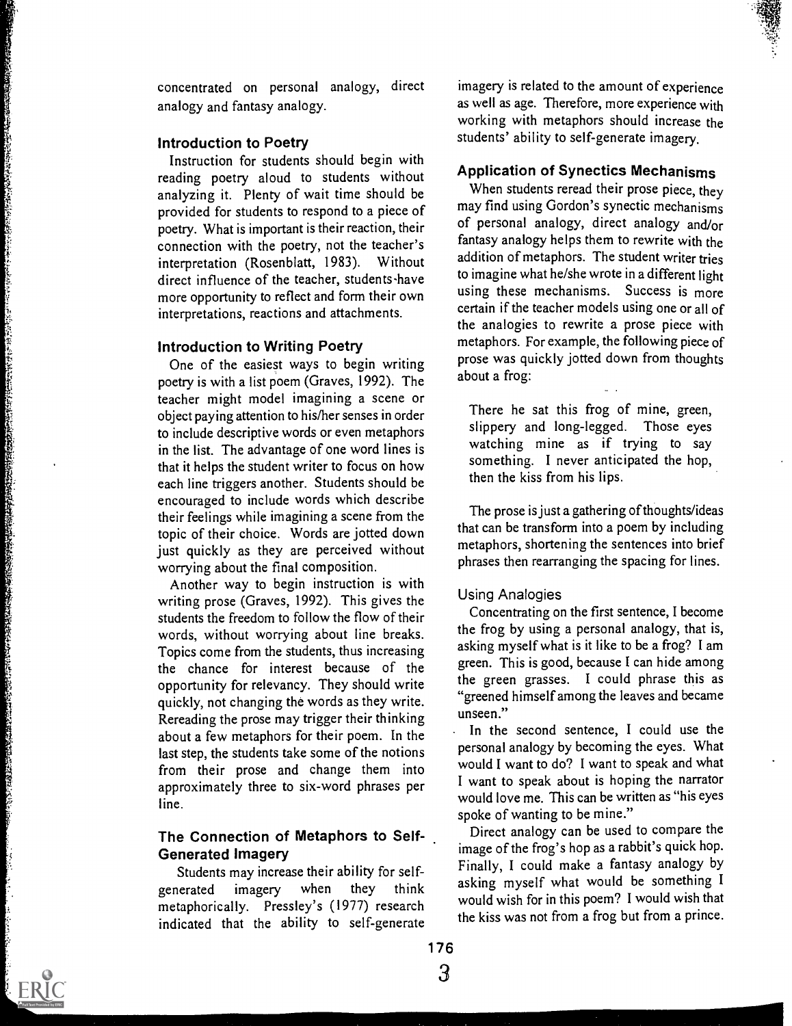concentrated on personal analogy, direct analogy and fantasy analogy.

### Introduction to Poetry

Instruction for students should begin with reading poetry aloud to students without analyzing it. Plenty of wait time should be provided for students to respond to a piece of poetry. What is important is their reaction, their connection with the poetry, not the teacher's interpretation (Rosenblatt, 1983). Without direct influence of the teacher, students-have more opportunity to reflect and form their own interpretations, reactions and attachments.

# introduction to Writing Poetry

One of the easiest ways to begin writing poetry is with a list poem (Graves, 1992). The teacher might model imagining a scene or object paying attention to his/her senses in order to include descriptive words or even metaphors in the list. The advantage of one word lines is that it helps the student writer to focus on how each line triggers another. Students should be encouraged to include words which describe their feelings while imagining a scene from the topic of their choice. Words are jotted down just quickly as they are perceived without worrying about the final composition.

Another way to begin instruction is with writing prose (Graves, 1992). This gives the students the freedom to follow the flow of their words, without worrying about line breaks. Topics come from the students, thus increasing the chance for interest because of the opportunity for relevancy. They should write quickly, not changing the words as they write. Rereading the prose may trigger their thinking about a few metaphors for their poem. In the last step, the students take some of the notions from their prose and change them into approximately three to six-word phrases per line.

# The Connection of Metaphors to Self-Generated Imagery

Students may increase their ability for selfgenerated imagery when they think metaphorically. Pressley's (1977) research indicated that the ability to self-generate

imagery is related to the amount of experience as well as age. Therefore, more experience with working with metaphors should increase the students' ability to self-generate imagery.

# Application of Synectics Mechanisms

When students reread their prose piece, they may find using Gordon's synectic mechanisms of personal analogy, direct analogy and/or fantasy analogy helps them to rewrite with the addition of metaphors. The student writer tries to imagine what he/she wrote in a different light using these mechanisms. Success is more certain if the teacher models using one or all of the analogies to rewrite a prose piece with metaphors. For example, the following piece of prose was quickly jotted down from thoughts about a frog:

There he sat this frog of mine, green, slippery and long-legged. Those eyes watching mine as if trying to say something. I never anticipated the hop, then the kiss from his lips.

The prose is just a gathering of thoughts/ideas that can be transform into a poem by including metaphors, shortening the sentences into brief phrases then rearranging the spacing for lines.

#### Using Analogies

Concentrating on the first sentence, I become the frog by using a personal analogy, that is, asking myself what is it like to be a frog? I am green. This is good, because I can hide among the green grasses. I could phrase this as "greened himself among the leaves and became unseen."

In the second sentence, I could use the personal analogy by becoming the eyes. What would I want to do? I want to speak and what I want to speak about is hoping the narrator would love me. This can be written as "his eyes spoke of wanting to be mine."

Direct analogy can be used to compare the image of the frog's hop as a rabbit's quick hop. Finally, I could make a fantasy analogy by asking myself what would be something I would wish for in this poem? I would wish that the kiss was not from a frog but from a prince.



3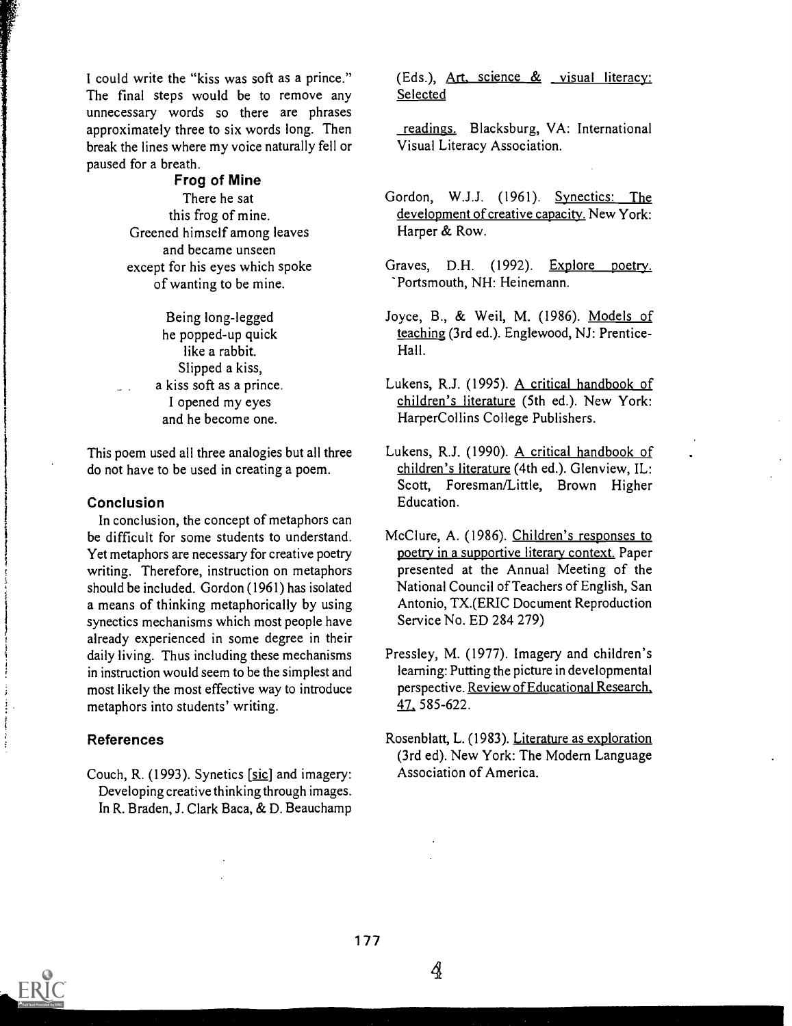I could write the "kiss was soft as a prince." The final steps would be to remove any unnecessary words so there are phrases approximately three to six words long. Then break the lines where my voice naturally fell or paused for a breath.

> Frog of Mine There he sat this frog of mine. Greened himself among leaves and became unseen except for his eyes which spoke of wanting to be mine.

> > Being long-legged he popped-up quick like a rabbit. Slipped a kiss, a kiss soft as a prince. I opened my eyes and he become one.

This poem used all three analogies but all three do not have to be used in creating a poem.

#### Conclusion

In conclusion, the concept of metaphors can be difficult for some students to understand. Yet metaphors are necessary for creative poetry writing. Therefore, instruction on metaphors should be included. Gordon (1961) has isolated a means of thinking metaphorically by using synectics mechanisms which most people have already experienced in some degree in their daily living. Thus including these mechanisms in instruction would seem to be the simplest and most likely the most effective way to introduce metaphors into students' writing.

#### References

Couch, R. (1993). Synetics [sic] and imagery: Developing creative thinking through images. In R. Braden, J. Clark Baca, & D. Beauchamp (Eds.), Art, science  $\&$  visual literacy: Selected

readings. Blacksburg, VA: International Visual Literacy Association.

- Gordon, W.J.J. (1961). Synectics: The development of creative capacity. New York: Harper & Row.
- Graves, D.H. (1992). Explore poetry. 'Portsmouth, NH: Heinemann.
- Joyce, B., & Weil, M. (1986). Models of teaching (3rd ed.). Englewood, NJ: Prentice-Hall.
- Lukens, R.J. (1995). A critical handbook of children's literature (5th ed.). New York: HarperCollins College Publishers.
- Lukens, R.J. (1990). A critical handbook of children's literature (4th ed.). Glenview, IL: Scott, Foresman/Little, Brown Higher Education.
- McClure, A. (1986). Children's responses to poetry in a supportive literary context. Paper presented at the Annual Meeting of the National Council of Teachers of English, San Antonio, TX.(ERIC Document Reproduction Service No. ED 284 279)
- Pressley, M. (1977). Imagery and children's learning: Putting the picture in developmental perspective. Review of Educational Research, 47 585-622.
- Rosenblatt, L. (1983). Literature as exploration (3rd ed). New York: The Modern Language Association of America.